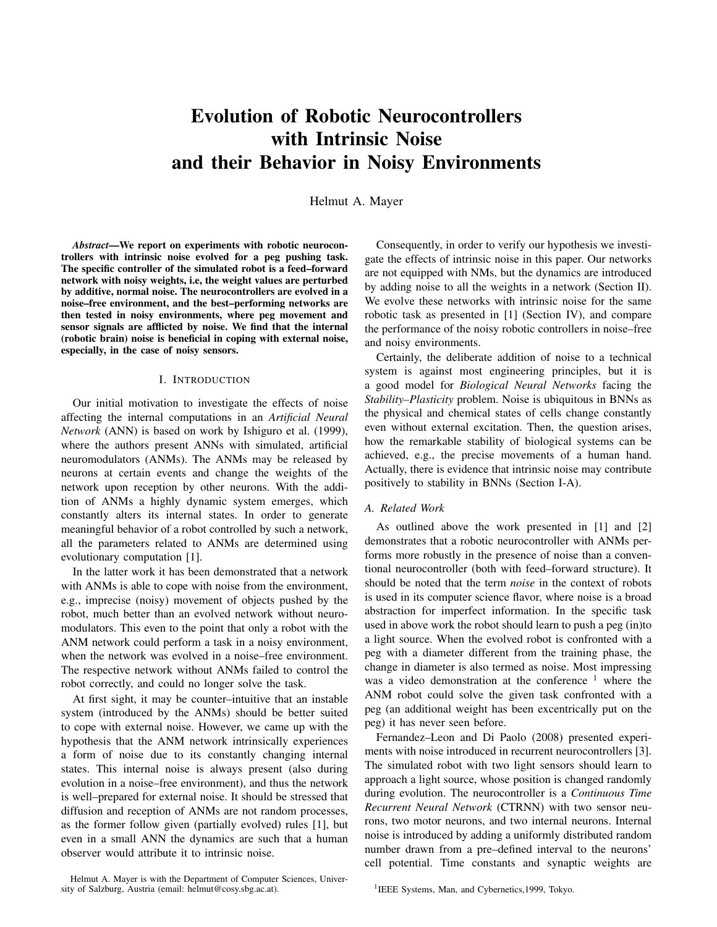# Evolution of Robotic Neurocontrollers with Intrinsic Noise and their Behavior in Noisy Environments

Helmut A. Mayer

*Abstract*—We report on experiments with robotic neurocontrollers with intrinsic noise evolved for a peg pushing task. The specific controller of the simulated robot is a feed–forward network with noisy weights, i.e, the weight values are perturbed by additive, normal noise. The neurocontrollers are evolved in a noise–free environment, and the best–performing networks are then tested in noisy environments, where peg movement and sensor signals are afflicted by noise. We find that the internal (robotic brain) noise is beneficial in coping with external noise, especially, in the case of noisy sensors.

### I. INTRODUCTION

Our initial motivation to investigate the effects of noise affecting the internal computations in an *Artificial Neural Network* (ANN) is based on work by Ishiguro et al. (1999), where the authors present ANNs with simulated, artificial neuromodulators (ANMs). The ANMs may be released by neurons at certain events and change the weights of the network upon reception by other neurons. With the addition of ANMs a highly dynamic system emerges, which constantly alters its internal states. In order to generate meaningful behavior of a robot controlled by such a network, all the parameters related to ANMs are determined using evolutionary computation [1].

In the latter work it has been demonstrated that a network with ANMs is able to cope with noise from the environment, e.g., imprecise (noisy) movement of objects pushed by the robot, much better than an evolved network without neuromodulators. This even to the point that only a robot with the ANM network could perform a task in a noisy environment, when the network was evolved in a noise–free environment. The respective network without ANMs failed to control the robot correctly, and could no longer solve the task.

At first sight, it may be counter–intuitive that an instable system (introduced by the ANMs) should be better suited to cope with external noise. However, we came up with the hypothesis that the ANM network intrinsically experiences a form of noise due to its constantly changing internal states. This internal noise is always present (also during evolution in a noise–free environment), and thus the network is well–prepared for external noise. It should be stressed that diffusion and reception of ANMs are not random processes, as the former follow given (partially evolved) rules [1], but even in a small ANN the dynamics are such that a human observer would attribute it to intrinsic noise.

Helmut A. Mayer is with the Department of Computer Sciences, University of Salzburg, Austria (email: helmut@cosy.sbg.ac.at).

Consequently, in order to verify our hypothesis we investigate the effects of intrinsic noise in this paper. Our networks are not equipped with NMs, but the dynamics are introduced by adding noise to all the weights in a network (Section II). We evolve these networks with intrinsic noise for the same robotic task as presented in [1] (Section IV), and compare the performance of the noisy robotic controllers in noise–free and noisy environments.

Certainly, the deliberate addition of noise to a technical system is against most engineering principles, but it is a good model for *Biological Neural Networks* facing the *Stability–Plasticity* problem. Noise is ubiquitous in BNNs as the physical and chemical states of cells change constantly even without external excitation. Then, the question arises, how the remarkable stability of biological systems can be achieved, e.g., the precise movements of a human hand. Actually, there is evidence that intrinsic noise may contribute positively to stability in BNNs (Section I-A).

## *A. Related Work*

As outlined above the work presented in [1] and [2] demonstrates that a robotic neurocontroller with ANMs performs more robustly in the presence of noise than a conventional neurocontroller (both with feed–forward structure). It should be noted that the term *noise* in the context of robots is used in its computer science flavor, where noise is a broad abstraction for imperfect information. In the specific task used in above work the robot should learn to push a peg (in)to a light source. When the evolved robot is confronted with a peg with a diameter different from the training phase, the change in diameter is also termed as noise. Most impressing was a video demonstration at the conference  $1$  where the ANM robot could solve the given task confronted with a peg (an additional weight has been excentrically put on the peg) it has never seen before.

Fernandez–Leon and Di Paolo (2008) presented experiments with noise introduced in recurrent neurocontrollers [3]. The simulated robot with two light sensors should learn to approach a light source, whose position is changed randomly during evolution. The neurocontroller is a *Continuous Time Recurrent Neural Network* (CTRNN) with two sensor neurons, two motor neurons, and two internal neurons. Internal noise is introduced by adding a uniformly distributed random number drawn from a pre–defined interval to the neurons' cell potential. Time constants and synaptic weights are

<sup>1</sup>IEEE Systems, Man, and Cybernetics, 1999, Tokyo.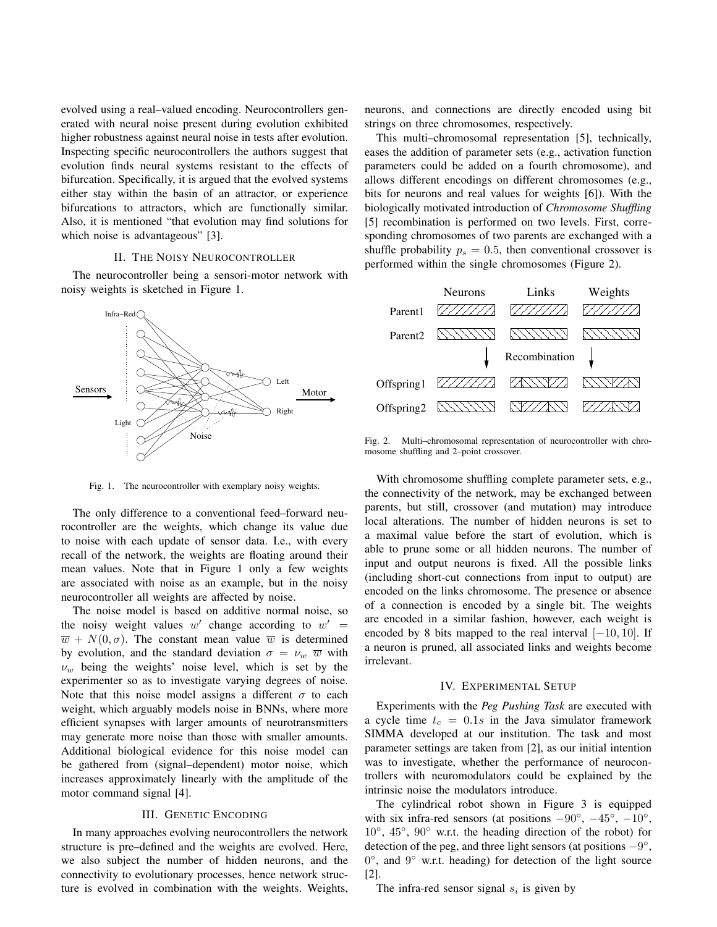evolved using a real–valued encoding. Neurocontrollers generated with neural noise present during evolution exhibited higher robustness against neural noise in tests after evolution. Inspecting specific neurocontrollers the authors suggest that evolution finds neural systems resistant to the effects of bifurcation. Specifically, it is argued that the evolved systems either stay within the basin of an attractor, or experience bifurcations to attractors, which are functionally similar. Also, it is mentioned "that evolution may find solutions for which noise is advantageous" [3].

#### II. THE NOISY NEUROCONTROLLER

The neurocontroller being a sensori-motor network with noisy weights is sketched in Figure 1.



Fig. 1. The neurocontroller with exemplary noisy weights.

The only difference to a conventional feed–forward neurocontroller are the weights, which change its value due to noise with each update of sensor data. I.e., with every recall of the network, the weights are floating around their mean values. Note that in Figure 1 only a few weights are associated with noise as an example, but in the noisy neurocontroller all weights are affected by noise.

The noise model is based on additive normal noise, so the noisy weight values w' change according to  $w' =$  $\overline{w}$  +  $N(0, \sigma)$ . The constant mean value  $\overline{w}$  is determined by evolution, and the standard deviation  $\sigma = \nu_w \ \overline{w}$  with  $\nu_w$  being the weights' noise level, which is set by the experimenter so as to investigate varying degrees of noise. Note that this noise model assigns a different  $\sigma$  to each weight, which arguably models noise in BNNs, where more efficient synapses with larger amounts of neurotransmitters may generate more noise than those with smaller amounts. Additional biological evidence for this noise model can be gathered from (signal–dependent) motor noise, which increases approximately linearly with the amplitude of the motor command signal [4].

#### III. GENETIC ENCODING

In many approaches evolving neurocontrollers the network structure is pre–defined and the weights are evolved. Here, we also subject the number of hidden neurons, and the connectivity to evolutionary processes, hence network structure is evolved in combination with the weights. Weights, neurons, and connections are directly encoded using bit strings on three chromosomes, respectively.

This multi–chromosomal representation [5], technically, eases the addition of parameter sets (e.g., activation function parameters could be added on a fourth chromosome), and allows different encodings on different chromosomes (e.g., bits for neurons and real values for weights [6]). With the biologically motivated introduction of *Chromosome Shuffling* [5] recombination is performed on two levels. First, corresponding chromosomes of two parents are exchanged with a shuffle probability  $p_s = 0.5$ , then conventional crossover is performed within the single chromosomes (Figure 2).



Fig. 2. Multi–chromosomal representation of neurocontroller with chromosome shuffling and 2–point crossover.

With chromosome shuffling complete parameter sets, e.g., the connectivity of the network, may be exchanged between parents, but still, crossover (and mutation) may introduce local alterations. The number of hidden neurons is set to a maximal value before the start of evolution, which is able to prune some or all hidden neurons. The number of input and output neurons is fixed. All the possible links (including short-cut connections from input to output) are encoded on the links chromosome. The presence or absence of a connection is encoded by a single bit. The weights are encoded in a similar fashion, however, each weight is encoded by 8 bits mapped to the real interval  $[-10, 10]$ . If a neuron is pruned, all associated links and weights become irrelevant.

#### IV. EXPERIMENTAL SETUP

Experiments with the *Peg Pushing Task* are executed with a cycle time  $t_c = 0.1s$  in the Java simulator framework SIMMA developed at our institution. The task and most parameter settings are taken from [2], as our initial intention was to investigate, whether the performance of neurocontrollers with neuromodulators could be explained by the intrinsic noise the modulators introduce.

The cylindrical robot shown in Figure 3 is equipped with six infra-red sensors (at positions  $-90^{\circ}$ ,  $-45^{\circ}$ ,  $-10^{\circ}$ , 10◦ , 45◦ , 90◦ w.r.t. the heading direction of the robot) for detection of the peg, and three light sensors (at positions  $-9^{\circ}$ , 0°, and 9° w.r.t. heading) for detection of the light source [2].

The infra-red sensor signal  $s_i$  is given by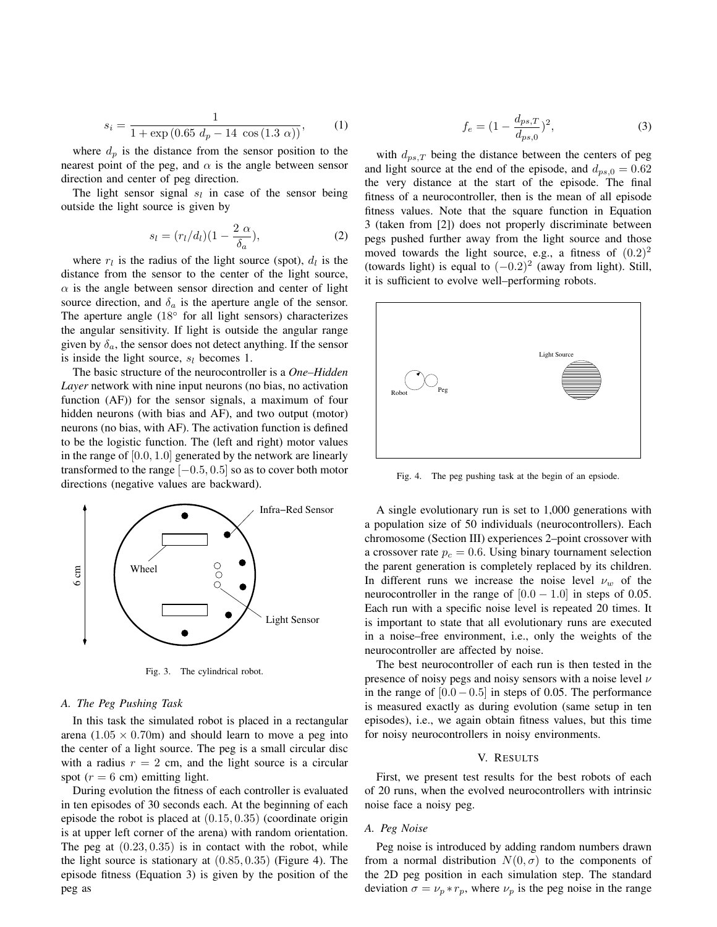$$
s_i = \frac{1}{1 + \exp(0.65 \ d_p - 14 \ \cos(1.3 \ \alpha))},\tag{1}
$$

where  $d_p$  is the distance from the sensor position to the nearest point of the peg, and  $\alpha$  is the angle between sensor direction and center of peg direction.

The light sensor signal  $s_l$  in case of the sensor being outside the light source is given by

$$
s_l = (r_l/d_l)(1 - \frac{2 \alpha}{\delta_a}), \qquad (2)
$$

where  $r_l$  is the radius of the light source (spot),  $d_l$  is the distance from the sensor to the center of the light source,  $\alpha$  is the angle between sensor direction and center of light source direction, and  $\delta_a$  is the aperture angle of the sensor. The aperture angle  $(18^{\circ}$  for all light sensors) characterizes the angular sensitivity. If light is outside the angular range given by  $\delta_a$ , the sensor does not detect anything. If the sensor is inside the light source,  $s_l$  becomes 1.

The basic structure of the neurocontroller is a *One–Hidden Layer* network with nine input neurons (no bias, no activation function (AF)) for the sensor signals, a maximum of four hidden neurons (with bias and AF), and two output (motor) neurons (no bias, with AF). The activation function is defined to be the logistic function. The (left and right) motor values in the range of [0.0, 1.0] generated by the network are linearly transformed to the range  $[-0.5, 0.5]$  so as to cover both motor directions (negative values are backward).



Fig. 3. The cylindrical robot.

### *A. The Peg Pushing Task*

In this task the simulated robot is placed in a rectangular arena  $(1.05 \times 0.70$ m) and should learn to move a peg into the center of a light source. The peg is a small circular disc with a radius  $r = 2$  cm, and the light source is a circular spot  $(r = 6$  cm) emitting light.

During evolution the fitness of each controller is evaluated in ten episodes of 30 seconds each. At the beginning of each episode the robot is placed at  $(0.15, 0.35)$  (coordinate origin is at upper left corner of the arena) with random orientation. The peg at  $(0.23, 0.35)$  is in contact with the robot, while the light source is stationary at  $(0.85, 0.35)$  (Figure 4). The episode fitness (Equation 3) is given by the position of the peg as

$$
f_e = (1 - \frac{d_{ps,T}}{d_{ps,0}})^2,
$$
\n(3)

with  $d_{ps,T}$  being the distance between the centers of peg and light source at the end of the episode, and  $d_{ps,0} = 0.62$ the very distance at the start of the episode. The final fitness of a neurocontroller, then is the mean of all episode fitness values. Note that the square function in Equation 3 (taken from [2]) does not properly discriminate between pegs pushed further away from the light source and those moved towards the light source, e.g., a fitness of  $(0.2)^2$ (towards light) is equal to  $(-0.2)^2$  (away from light). Still, it is sufficient to evolve well–performing robots.



Fig. 4. The peg pushing task at the begin of an epsiode.

A single evolutionary run is set to 1,000 generations with a population size of 50 individuals (neurocontrollers). Each chromosome (Section III) experiences 2–point crossover with a crossover rate  $p_c = 0.6$ . Using binary tournament selection the parent generation is completely replaced by its children. In different runs we increase the noise level  $\nu_w$  of the neurocontroller in the range of  $[0.0 - 1.0]$  in steps of 0.05. Each run with a specific noise level is repeated 20 times. It is important to state that all evolutionary runs are executed in a noise–free environment, i.e., only the weights of the neurocontroller are affected by noise.

The best neurocontroller of each run is then tested in the presence of noisy pegs and noisy sensors with a noise level  $\nu$ in the range of  $[0.0 - 0.5]$  in steps of 0.05. The performance is measured exactly as during evolution (same setup in ten episodes), i.e., we again obtain fitness values, but this time for noisy neurocontrollers in noisy environments.

#### V. RESULTS

First, we present test results for the best robots of each of 20 runs, when the evolved neurocontrollers with intrinsic noise face a noisy peg.

#### *A. Peg Noise*

Peg noise is introduced by adding random numbers drawn from a normal distribution  $N(0, \sigma)$  to the components of the 2D peg position in each simulation step. The standard deviation  $\sigma = \nu_p * r_p$ , where  $\nu_p$  is the peg noise in the range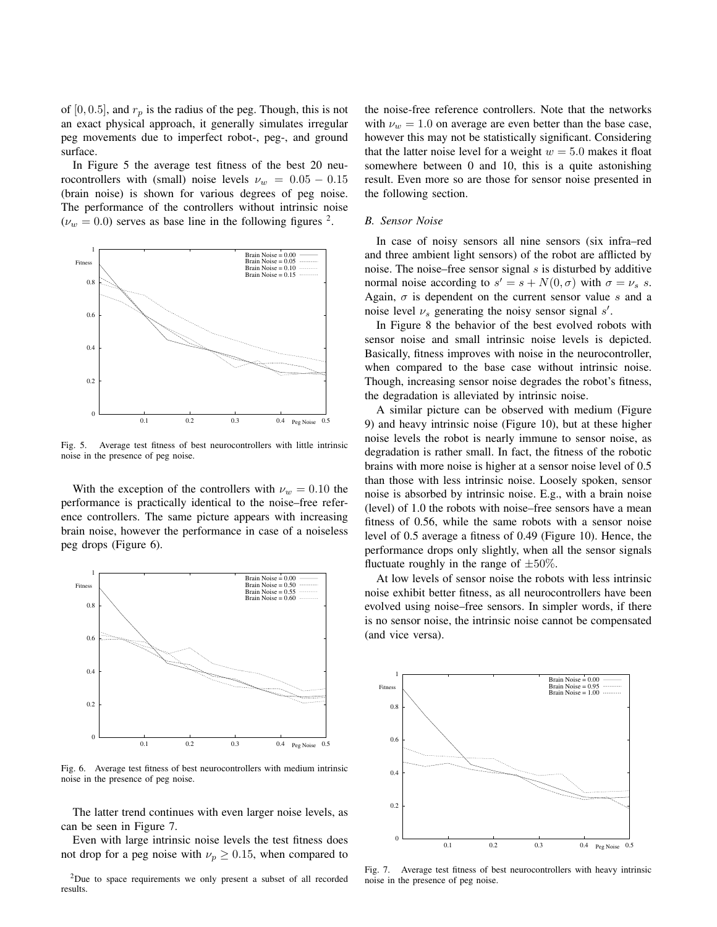of [0, 0.5], and  $r_p$  is the radius of the peg. Though, this is not an exact physical approach, it generally simulates irregular peg movements due to imperfect robot-, peg-, and ground surface.

In Figure 5 the average test fitness of the best 20 neurocontrollers with (small) noise levels  $\nu_w = 0.05 - 0.15$ (brain noise) is shown for various degrees of peg noise. The performance of the controllers without intrinsic noise  $(\nu_w = 0.0)$  serves as base line in the following figures <sup>2</sup>.



Fig. 5. Average test fitness of best neurocontrollers with little intrinsic noise in the presence of peg noise.

With the exception of the controllers with  $\nu_w = 0.10$  the performance is practically identical to the noise–free reference controllers. The same picture appears with increasing brain noise, however the performance in case of a noiseless peg drops (Figure 6).



Fig. 6. Average test fitness of best neurocontrollers with medium intrinsic noise in the presence of peg noise.

The latter trend continues with even larger noise levels, as can be seen in Figure 7.

Even with large intrinsic noise levels the test fitness does not drop for a peg noise with  $\nu_p \ge 0.15$ , when compared to

<sup>2</sup>Due to space requirements we only present a subset of all recorded results

the noise-free reference controllers. Note that the networks with  $\nu_w = 1.0$  on average are even better than the base case, however this may not be statistically significant. Considering that the latter noise level for a weight  $w = 5.0$  makes it float somewhere between 0 and 10, this is a quite astonishing result. Even more so are those for sensor noise presented in the following section.

#### *B. Sensor Noise*

In case of noisy sensors all nine sensors (six infra–red and three ambient light sensors) of the robot are afflicted by noise. The noise–free sensor signal  $s$  is disturbed by additive normal noise according to  $s' = s + N(0, \sigma)$  with  $\sigma = \nu_s$  s. Again,  $\sigma$  is dependent on the current sensor value s and a noise level  $\nu_s$  generating the noisy sensor signal s'.

In Figure 8 the behavior of the best evolved robots with sensor noise and small intrinsic noise levels is depicted. Basically, fitness improves with noise in the neurocontroller, when compared to the base case without intrinsic noise. Though, increasing sensor noise degrades the robot's fitness, the degradation is alleviated by intrinsic noise.

A similar picture can be observed with medium (Figure 9) and heavy intrinsic noise (Figure 10), but at these higher noise levels the robot is nearly immune to sensor noise, as degradation is rather small. In fact, the fitness of the robotic brains with more noise is higher at a sensor noise level of 0.5 than those with less intrinsic noise. Loosely spoken, sensor noise is absorbed by intrinsic noise. E.g., with a brain noise (level) of 1.0 the robots with noise–free sensors have a mean fitness of 0.56, while the same robots with a sensor noise level of 0.5 average a fitness of 0.49 (Figure 10). Hence, the performance drops only slightly, when all the sensor signals fluctuate roughly in the range of  $\pm 50\%$ .

At low levels of sensor noise the robots with less intrinsic noise exhibit better fitness, as all neurocontrollers have been evolved using noise–free sensors. In simpler words, if there is no sensor noise, the intrinsic noise cannot be compensated (and vice versa).



Fig. 7. Average test fitness of best neurocontrollers with heavy intrinsic noise in the presence of peg noise.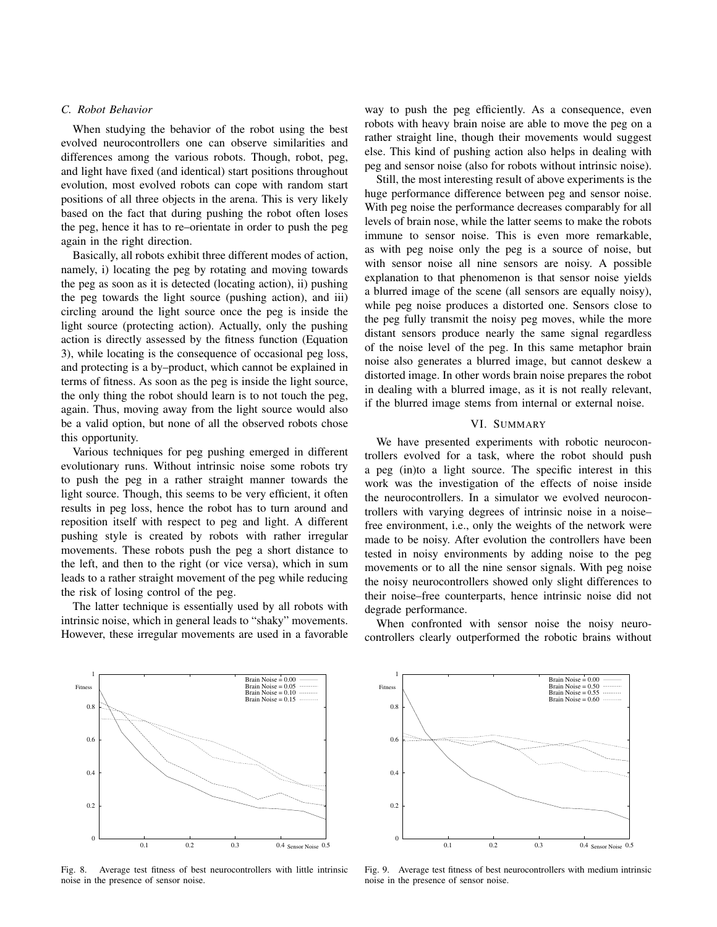# *C. Robot Behavior*

When studying the behavior of the robot using the best evolved neurocontrollers one can observe similarities and differences among the various robots. Though, robot, peg, and light have fixed (and identical) start positions throughout evolution, most evolved robots can cope with random start positions of all three objects in the arena. This is very likely based on the fact that during pushing the robot often loses the peg, hence it has to re–orientate in order to push the peg again in the right direction.

Basically, all robots exhibit three different modes of action, namely, i) locating the peg by rotating and moving towards the peg as soon as it is detected (locating action), ii) pushing the peg towards the light source (pushing action), and iii) circling around the light source once the peg is inside the light source (protecting action). Actually, only the pushing action is directly assessed by the fitness function (Equation 3), while locating is the consequence of occasional peg loss, and protecting is a by–product, which cannot be explained in terms of fitness. As soon as the peg is inside the light source, the only thing the robot should learn is to not touch the peg, again. Thus, moving away from the light source would also be a valid option, but none of all the observed robots chose this opportunity.

Various techniques for peg pushing emerged in different evolutionary runs. Without intrinsic noise some robots try to push the peg in a rather straight manner towards the light source. Though, this seems to be very efficient, it often results in peg loss, hence the robot has to turn around and reposition itself with respect to peg and light. A different pushing style is created by robots with rather irregular movements. These robots push the peg a short distance to the left, and then to the right (or vice versa), which in sum leads to a rather straight movement of the peg while reducing the risk of losing control of the peg.

The latter technique is essentially used by all robots with intrinsic noise, which in general leads to "shaky" movements. However, these irregular movements are used in a favorable way to push the peg efficiently. As a consequence, even robots with heavy brain noise are able to move the peg on a rather straight line, though their movements would suggest else. This kind of pushing action also helps in dealing with peg and sensor noise (also for robots without intrinsic noise).

Still, the most interesting result of above experiments is the huge performance difference between peg and sensor noise. With peg noise the performance decreases comparably for all levels of brain nose, while the latter seems to make the robots immune to sensor noise. This is even more remarkable, as with peg noise only the peg is a source of noise, but with sensor noise all nine sensors are noisy. A possible explanation to that phenomenon is that sensor noise yields a blurred image of the scene (all sensors are equally noisy), while peg noise produces a distorted one. Sensors close to the peg fully transmit the noisy peg moves, while the more distant sensors produce nearly the same signal regardless of the noise level of the peg. In this same metaphor brain noise also generates a blurred image, but cannot deskew a distorted image. In other words brain noise prepares the robot in dealing with a blurred image, as it is not really relevant, if the blurred image stems from internal or external noise.

# VI. SUMMARY

We have presented experiments with robotic neurocontrollers evolved for a task, where the robot should push a peg (in)to a light source. The specific interest in this work was the investigation of the effects of noise inside the neurocontrollers. In a simulator we evolved neurocontrollers with varying degrees of intrinsic noise in a noise– free environment, i.e., only the weights of the network were made to be noisy. After evolution the controllers have been tested in noisy environments by adding noise to the peg movements or to all the nine sensor signals. With peg noise the noisy neurocontrollers showed only slight differences to their noise–free counterparts, hence intrinsic noise did not degrade performance.

When confronted with sensor noise the noisy neurocontrollers clearly outperformed the robotic brains without



Fig. 8. Average test fitness of best neurocontrollers with little intrinsic noise in the presence of sensor noise.



Fig. 9. Average test fitness of best neurocontrollers with medium intrinsic noise in the presence of sensor noise.